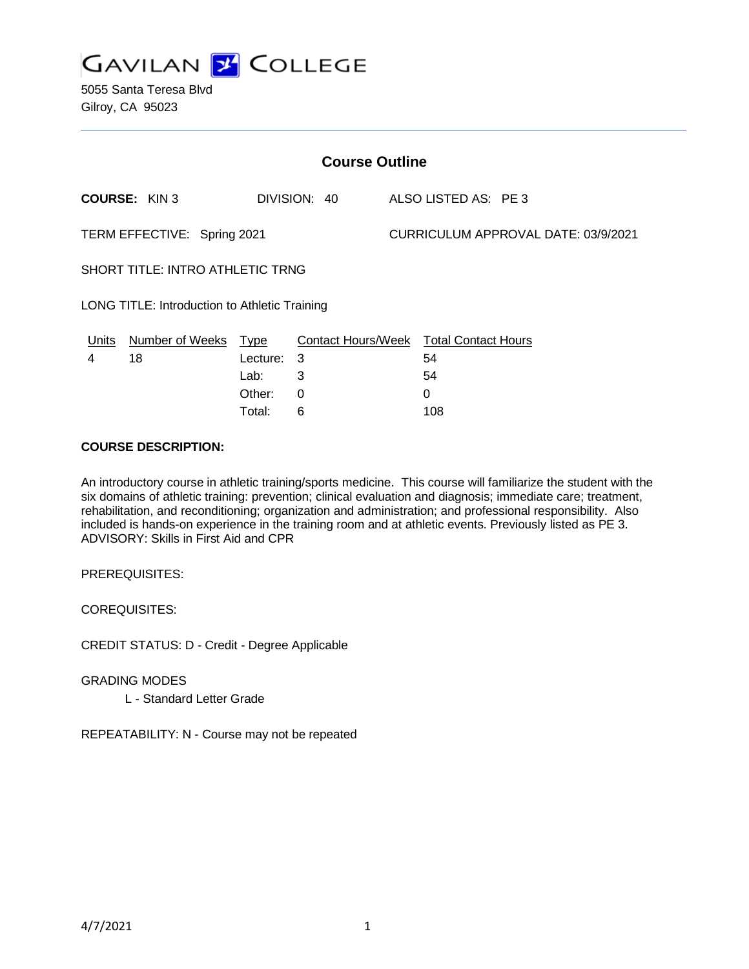

| <b>Course Outline</b>                         |                        |             |              |  |                                               |  |
|-----------------------------------------------|------------------------|-------------|--------------|--|-----------------------------------------------|--|
|                                               | <b>COURSE: KIN 3</b>   |             | DIVISION: 40 |  | ALSO LISTED AS: PE 3                          |  |
| TERM EFFECTIVE: Spring 2021                   |                        |             |              |  | CURRICULUM APPROVAL DATE: 03/9/2021           |  |
| SHORT TITLE: INTRO ATHLETIC TRNG              |                        |             |              |  |                                               |  |
| LONG TITLE: Introduction to Athletic Training |                        |             |              |  |                                               |  |
| <u>Units</u>                                  | <b>Number of Weeks</b> | <u>Type</u> |              |  | <b>Contact Hours/Week Total Contact Hours</b> |  |
| 4                                             | 18                     | Lecture:    | 3            |  | 54                                            |  |
|                                               |                        | Lab:        | 3            |  | 54                                            |  |
|                                               |                        | Other:      | 0            |  | 0                                             |  |

Total: 6 108

#### **COURSE DESCRIPTION:**

An introductory course in athletic training/sports medicine. This course will familiarize the student with the six domains of athletic training: prevention; clinical evaluation and diagnosis; immediate care; treatment, rehabilitation, and reconditioning; organization and administration; and professional responsibility. Also included is hands-on experience in the training room and at athletic events. Previously listed as PE 3. ADVISORY: Skills in First Aid and CPR

PREREQUISITES:

COREQUISITES:

CREDIT STATUS: D - Credit - Degree Applicable

GRADING MODES L - Standard Letter Grade

REPEATABILITY: N - Course may not be repeated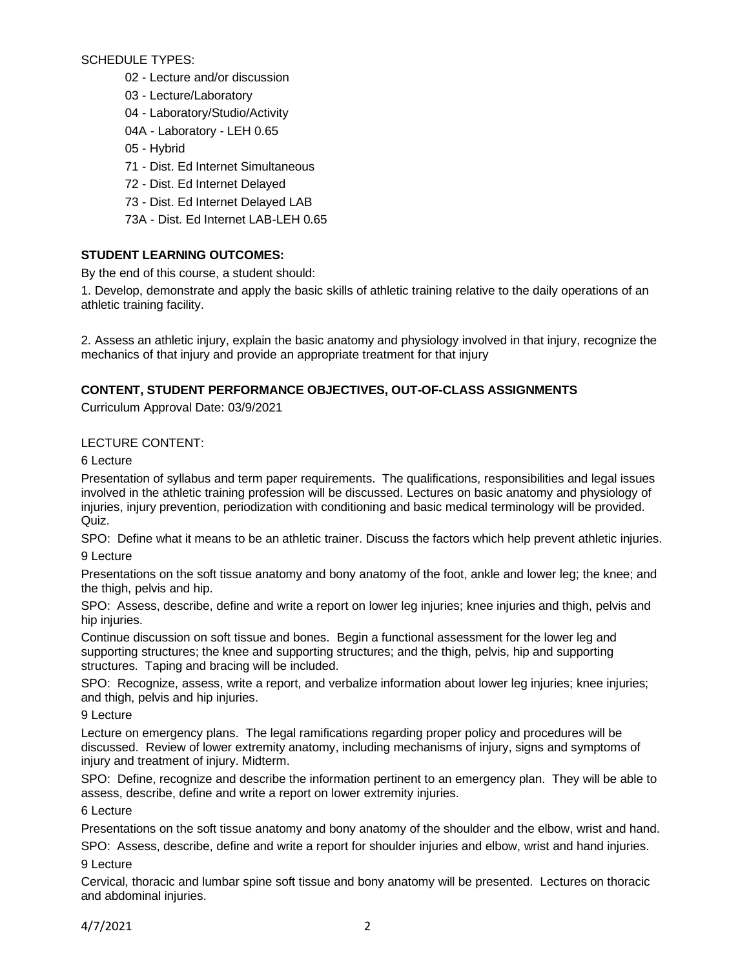SCHEDULE TYPES:

- 02 Lecture and/or discussion
- 03 Lecture/Laboratory
- 04 Laboratory/Studio/Activity
- 04A Laboratory LEH 0.65
- 05 Hybrid
- 71 Dist. Ed Internet Simultaneous
- 72 Dist. Ed Internet Delayed
- 73 Dist. Ed Internet Delayed LAB
- 73A Dist. Ed Internet LAB-LEH 0.65

# **STUDENT LEARNING OUTCOMES:**

By the end of this course, a student should:

1. Develop, demonstrate and apply the basic skills of athletic training relative to the daily operations of an athletic training facility.

2. Assess an athletic injury, explain the basic anatomy and physiology involved in that injury, recognize the mechanics of that injury and provide an appropriate treatment for that injury

# **CONTENT, STUDENT PERFORMANCE OBJECTIVES, OUT-OF-CLASS ASSIGNMENTS**

Curriculum Approval Date: 03/9/2021

# LECTURE CONTENT:

## 6 Lecture

Presentation of syllabus and term paper requirements. The qualifications, responsibilities and legal issues involved in the athletic training profession will be discussed. Lectures on basic anatomy and physiology of injuries, injury prevention, periodization with conditioning and basic medical terminology will be provided. Quiz.

SPO: Define what it means to be an athletic trainer. Discuss the factors which help prevent athletic injuries. 9 Lecture

Presentations on the soft tissue anatomy and bony anatomy of the foot, ankle and lower leg; the knee; and the thigh, pelvis and hip.

SPO: Assess, describe, define and write a report on lower leg injuries; knee injuries and thigh, pelvis and hip injuries.

Continue discussion on soft tissue and bones. Begin a functional assessment for the lower leg and supporting structures; the knee and supporting structures; and the thigh, pelvis, hip and supporting structures. Taping and bracing will be included.

SPO: Recognize, assess, write a report, and verbalize information about lower leg injuries; knee injuries; and thigh, pelvis and hip injuries.

### 9 Lecture

Lecture on emergency plans. The legal ramifications regarding proper policy and procedures will be discussed. Review of lower extremity anatomy, including mechanisms of injury, signs and symptoms of injury and treatment of injury. Midterm.

SPO: Define, recognize and describe the information pertinent to an emergency plan. They will be able to assess, describe, define and write a report on lower extremity injuries.

# 6 Lecture

Presentations on the soft tissue anatomy and bony anatomy of the shoulder and the elbow, wrist and hand.

SPO: Assess, describe, define and write a report for shoulder injuries and elbow, wrist and hand injuries. 9 Lecture

Cervical, thoracic and lumbar spine soft tissue and bony anatomy will be presented. Lectures on thoracic and abdominal injuries.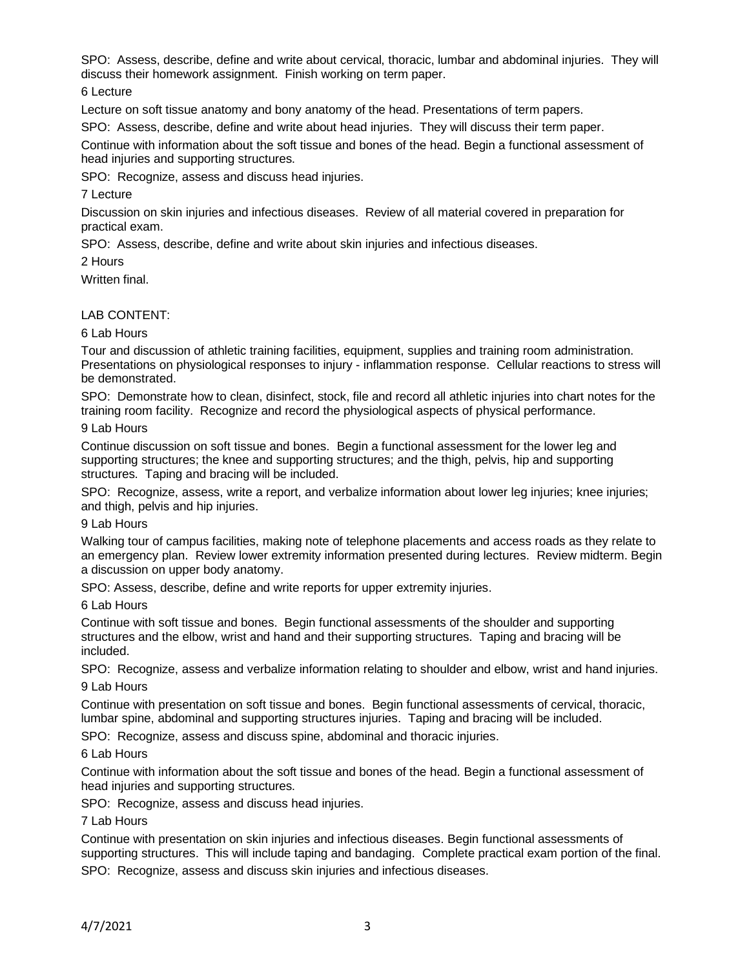SPO: Assess, describe, define and write about cervical, thoracic, lumbar and abdominal injuries. They will discuss their homework assignment. Finish working on term paper.

6 Lecture

Lecture on soft tissue anatomy and bony anatomy of the head. Presentations of term papers.

SPO: Assess, describe, define and write about head injuries. They will discuss their term paper.

Continue with information about the soft tissue and bones of the head. Begin a functional assessment of head injuries and supporting structures.

SPO: Recognize, assess and discuss head injuries.

7 Lecture

Discussion on skin injuries and infectious diseases. Review of all material covered in preparation for practical exam.

SPO: Assess, describe, define and write about skin injuries and infectious diseases.

2 Hours

Written final.

LAB CONTENT:

6 Lab Hours

Tour and discussion of athletic training facilities, equipment, supplies and training room administration. Presentations on physiological responses to injury - inflammation response. Cellular reactions to stress will be demonstrated.

SPO: Demonstrate how to clean, disinfect, stock, file and record all athletic injuries into chart notes for the training room facility. Recognize and record the physiological aspects of physical performance.

#### 9 Lab Hours

Continue discussion on soft tissue and bones. Begin a functional assessment for the lower leg and supporting structures; the knee and supporting structures; and the thigh, pelvis, hip and supporting structures. Taping and bracing will be included.

SPO: Recognize, assess, write a report, and verbalize information about lower leg injuries; knee injuries; and thigh, pelvis and hip injuries.

### 9 Lab Hours

Walking tour of campus facilities, making note of telephone placements and access roads as they relate to an emergency plan. Review lower extremity information presented during lectures. Review midterm. Begin a discussion on upper body anatomy.

SPO: Assess, describe, define and write reports for upper extremity injuries.

6 Lab Hours

Continue with soft tissue and bones. Begin functional assessments of the shoulder and supporting structures and the elbow, wrist and hand and their supporting structures. Taping and bracing will be included.

SPO: Recognize, assess and verbalize information relating to shoulder and elbow, wrist and hand injuries. 9 Lab Hours

Continue with presentation on soft tissue and bones. Begin functional assessments of cervical, thoracic, lumbar spine, abdominal and supporting structures injuries. Taping and bracing will be included.

SPO: Recognize, assess and discuss spine, abdominal and thoracic injuries.

#### 6 Lab Hours

Continue with information about the soft tissue and bones of the head. Begin a functional assessment of head injuries and supporting structures.

SPO: Recognize, assess and discuss head injuries.

### 7 Lab Hours

Continue with presentation on skin injuries and infectious diseases. Begin functional assessments of supporting structures. This will include taping and bandaging. Complete practical exam portion of the final.

SPO: Recognize, assess and discuss skin injuries and infectious diseases.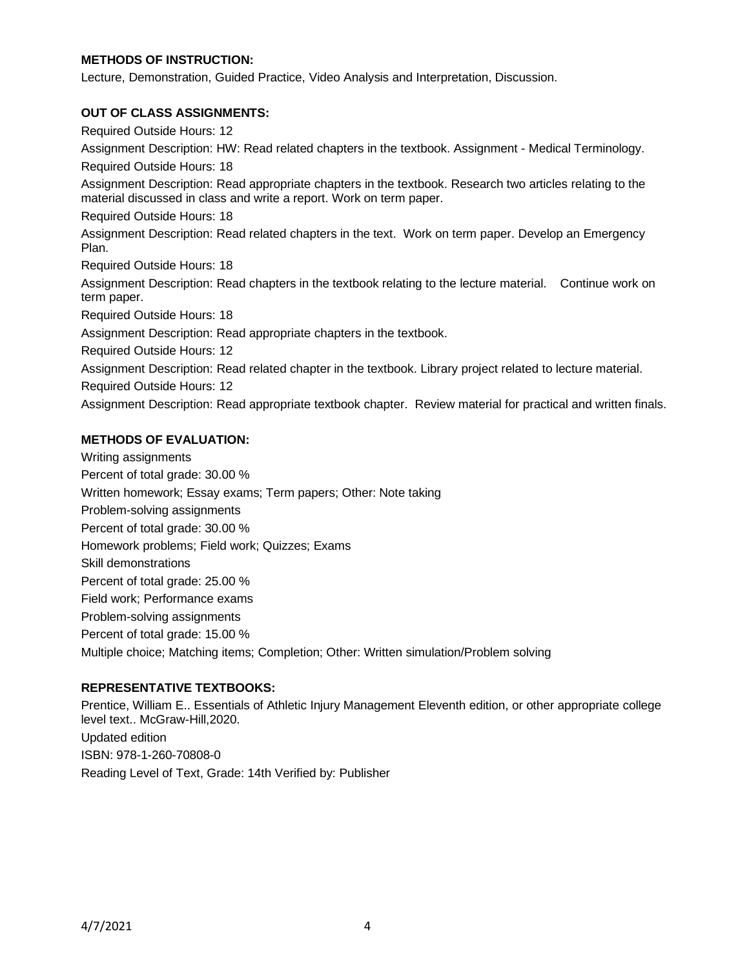### **METHODS OF INSTRUCTION:**

Lecture, Demonstration, Guided Practice, Video Analysis and Interpretation, Discussion.

### **OUT OF CLASS ASSIGNMENTS:**

Required Outside Hours: 12 Assignment Description: HW: Read related chapters in the textbook. Assignment - Medical Terminology. Required Outside Hours: 18 Assignment Description: Read appropriate chapters in the textbook. Research two articles relating to the material discussed in class and write a report. Work on term paper. Required Outside Hours: 18 Assignment Description: Read related chapters in the text. Work on term paper. Develop an Emergency Plan. Required Outside Hours: 18 Assignment Description: Read chapters in the textbook relating to the lecture material. Continue work on term paper. Required Outside Hours: 18 Assignment Description: Read appropriate chapters in the textbook. Required Outside Hours: 12 Assignment Description: Read related chapter in the textbook. Library project related to lecture material. Required Outside Hours: 12 Assignment Description: Read appropriate textbook chapter. Review material for practical and written finals.

### **METHODS OF EVALUATION:**

Writing assignments Percent of total grade: 30.00 % Written homework; Essay exams; Term papers; Other: Note taking Problem-solving assignments Percent of total grade: 30.00 % Homework problems; Field work; Quizzes; Exams Skill demonstrations Percent of total grade: 25.00 % Field work; Performance exams Problem-solving assignments Percent of total grade: 15.00 % Multiple choice; Matching items; Completion; Other: Written simulation/Problem solving

# **REPRESENTATIVE TEXTBOOKS:**

Prentice, William E.. Essentials of Athletic Injury Management Eleventh edition, or other appropriate college level text.. McGraw-Hill,2020. Updated edition ISBN: 978-1-260-70808-0 Reading Level of Text, Grade: 14th Verified by: Publisher